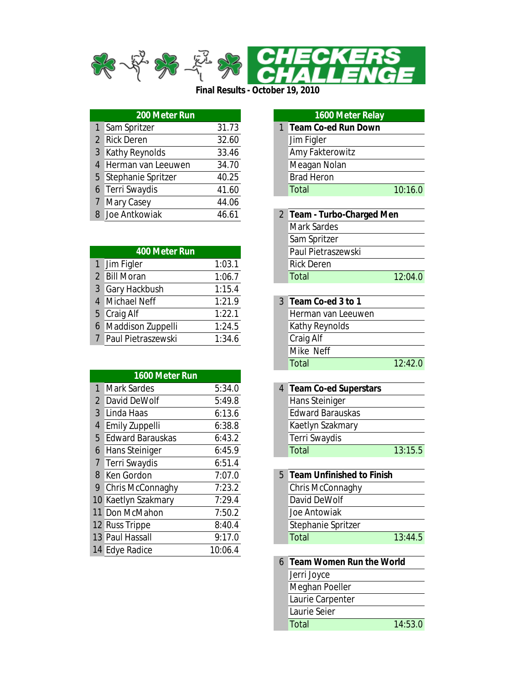印罗昂平的 *CHECKERS*<br>CHALLENG

**Final Results - October 19, 2010**

| 200 Meter Run |                      |       | 1600 Meter Relay |                            |  |
|---------------|----------------------|-------|------------------|----------------------------|--|
|               | 1 Sam Spritzer       | 31.73 |                  | 1 Team Co-ed Run Down      |  |
|               | 2 Rick Deren         | 32.60 | Jim Figler       |                            |  |
|               | 3 Kathy Reynolds     | 33.46 |                  | Amy Fakterowitz            |  |
|               | 4 Herman van Leeuwen | 34.70 |                  | Meagan Nolan               |  |
|               | 5 Stephanie Spritzer | 40.25 |                  | <b>Brad Heron</b>          |  |
|               | 6 Terri Swaydis      | 41.60 |                  | <b>Total</b><br>10:16.0    |  |
|               | <b>Mary Casey</b>    | 44.06 |                  |                            |  |
|               | 8 Joe Antkowiak      | 46.61 |                  | 2 Team - Turbo-Charged Men |  |

|                 | 400 Meter Run        |        | Paul Pietraszewski    |  |
|-----------------|----------------------|--------|-----------------------|--|
| 1 Jim Figler    |                      | 1:03.1 | <b>Rick Deren</b>     |  |
| 2 Bill Moran    |                      | 1:06.7 | <b>Total</b>          |  |
| 3 Gary Hackbush |                      | 1:15.4 |                       |  |
| 4 Michael Neff  |                      | 1:21.9 | 3 Team Co-ed 3 to 1   |  |
| 5 Craig Alf     |                      | 1:22.1 | Herman van Leeuwen    |  |
|                 | 6 Maddison Zuppelli  | 1:24.5 | <b>Kathy Reynolds</b> |  |
|                 | 7 Paul Pietraszewski | 1:34.6 | <b>Craig Alf</b>      |  |

|   | 1600 Meter Run          |         |                                                                                              |
|---|-------------------------|---------|----------------------------------------------------------------------------------------------|
|   | <b>Mark Sardes</b>      | 5:34.0  | 4 Team Co-ed Superstars                                                                      |
|   | 2 David DeWolf          | 5:49.8  | <b>Hans Steiniger</b>                                                                        |
| 3 | Linda Haas              | 6:13.6  | <b>Edward Barauskas</b>                                                                      |
| 4 | <b>Emily Zuppelli</b>   | 6:38.8  | Kaetlyn Szakmary                                                                             |
| 5 | <b>Edward Barauskas</b> | 6:43.2  | <b>Terri Swaydis</b>                                                                         |
| 6 | Hans Steiniger          | 6:45.9  | 13:15.5<br><b>Total</b>                                                                      |
|   | <b>Terri Swaydis</b>    | 6:51.4  |                                                                                              |
| 8 | <b>Ken Gordon</b>       | 7:07.0  | 5 Team Unfinished to Finish                                                                  |
| 9 | <b>Chris McConnaghy</b> | 7:23.2  | Chris McConnaghy                                                                             |
|   | 10 Kaetlyn Szakmary     | 7:29.4  | <b>David DeWolf</b>                                                                          |
|   | 11 Don McMahon          | 7:50.2  | <b>Joe Antowiak</b>                                                                          |
|   | 12 Russ Trippe          | 8:40.4  | Stephanie Spritzer                                                                           |
|   | <b>13 Paul Hassall</b>  | 9:17.0  | 13:44.5<br><b>Total</b>                                                                      |
|   | 14 Edye Radice          | 10:06.4 |                                                                                              |
|   |                         |         | $\ell$ . The contribution of $\mathbf{D}_{\ell}$ and the contribution of $\mathbf{D}_{\ell}$ |

|              | 1600 Meter Relay    |         |  |
|--------------|---------------------|---------|--|
|              |                     |         |  |
|              | Team Co-ed Run Down |         |  |
|              | Jim Figler          |         |  |
|              | Amy Fakterowitz     |         |  |
| Meagan Nolan |                     |         |  |
|              | <b>Brad Heron</b>   |         |  |
|              | <b>Total</b>        | 10:16.0 |  |
|              |                     |         |  |

| 2 Team - Turbo-Charged Men |         |  |  |
|----------------------------|---------|--|--|
| Mark Sardes                |         |  |  |
| Sam Spritzer               |         |  |  |
| Paul Pietraszewski         |         |  |  |
| <b>Rick Deren</b>          |         |  |  |
| Total                      | 12:04.0 |  |  |
|                            |         |  |  |

| 3 Team Co-ed 3 to 1   |         |
|-----------------------|---------|
| Herman van Leeuwen    |         |
| <b>Kathy Reynolds</b> |         |
| <b>Craig Alf</b>      |         |
| Mike Neff             |         |
| Total                 | 12:42.0 |
|                       |         |

| 4 | <b>Team Co-ed Superstars</b> |         |
|---|------------------------------|---------|
|   | Hans Steiniger               |         |
|   | <b>Edward Barauskas</b>      |         |
|   | Kaetlyn Szakmary             |         |
|   | Terri Swaydis                |         |
|   | <b>Total</b>                 | 13:15.5 |
|   |                              |         |

- $\overline{5}$  Team Unfinished to Finish Chris McConnaghy David DeWolf Joe Antowiak Stephanie Spritzer
- 6 **Team Women Run the World** Jerri Joyce Meghan Poeller Laurie Carpenter Laurie Seier<br>Total 14:53.0